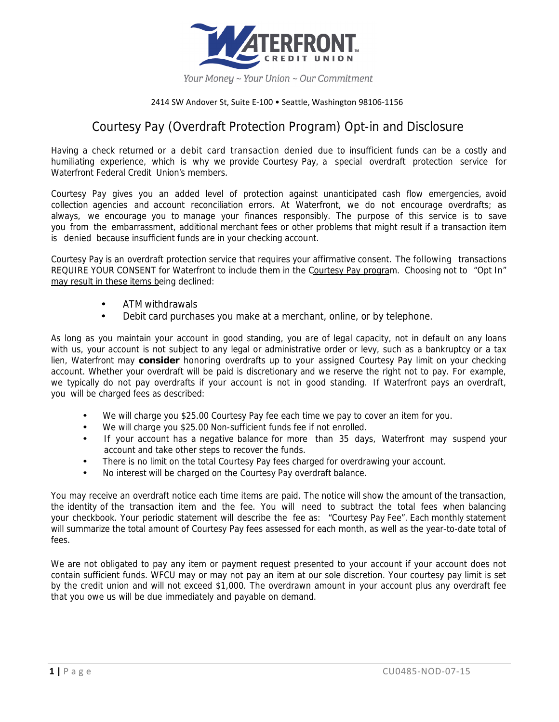

## 2414 SW Andover St, Suite E‐100 • Seattle, Washington 98106‐1156

## Courtesy Pay (Overdraft Protection Program) Opt-in and Disclosure

Having a check returned or a debit card transaction denied due to insufficient funds can be a costly and humiliating experience, which is why we provide Courtesy Pay, a special overdraft protection service for Waterfront Federal Credit Union's members.

Courtesy Pay gives you an added level of protection against unanticipated cash flow emergencies, avoid collection agencies and account reconciliation errors. At Waterfront, we do not encourage overdrafts; as always, we encourage you to manage your finances responsibly. The purpose of this service is to save you from the embarrassment, additional merchant fees or other problems that might result if a transaction item is denied because insufficient funds are in your checking account.

Courtesy Pay is an overdraft protection service that requires your affirmative consent. The following transactions REQUIRE YOUR CONSENT for Waterfront to include them in the Courtesy Pay program. Choosing not to "Opt In" may result in these items being declined:

- ATM withdrawals
- Debit card purchases you make at a merchant, online, or by telephone.

As long as you maintain your account in good standing, you are of legal capacity, not in default on any loans with us, your account is not subject to any legal or administrative order or levy, such as a bankruptcy or a tax lien, Waterfront may **consider** honoring overdrafts up to your assigned Courtesy Pay limit on your checking account. Whether your overdraft will be paid is discretionary and we reserve the right not to pay. For example, we typically do not pay overdrafts if your account is not in good standing. If Waterfront pays an overdraft, you will be charged fees as described:

- We will charge you \$25.00 Courtesy Pay fee each time we pay to cover an item for you.
- We will charge you \$25.00 Non-sufficient funds fee if not enrolled.
- If your account has a negative balance for more than 35 days, Waterfront may suspend your account and take other steps to recover the funds.
- There is no limit on the total Courtesy Pay fees charged for overdrawing your account.
- No interest will be charged on the Courtesy Pay overdraft balance.

You may receive an overdraft notice each time items are paid. The notice will show the amount of the transaction, the identity of the transaction item and the fee. You will need to subtract the total fees when balancing your checkbook. Your periodic statement will describe the fee as: "Courtesy Pay Fee". Each monthly statement will summarize the total amount of Courtesy Pay fees assessed for each month, as well as the year-to-date total of fees.

We are not obligated to pay any item or payment request presented to your account if your account does not contain sufficient funds. WFCU may or may not pay an item at our sole discretion. Your courtesy pay limit is set by the credit union and will not exceed \$1,000. The overdrawn amount in your account plus any overdraft fee that you owe us will be due immediately and payable on demand.